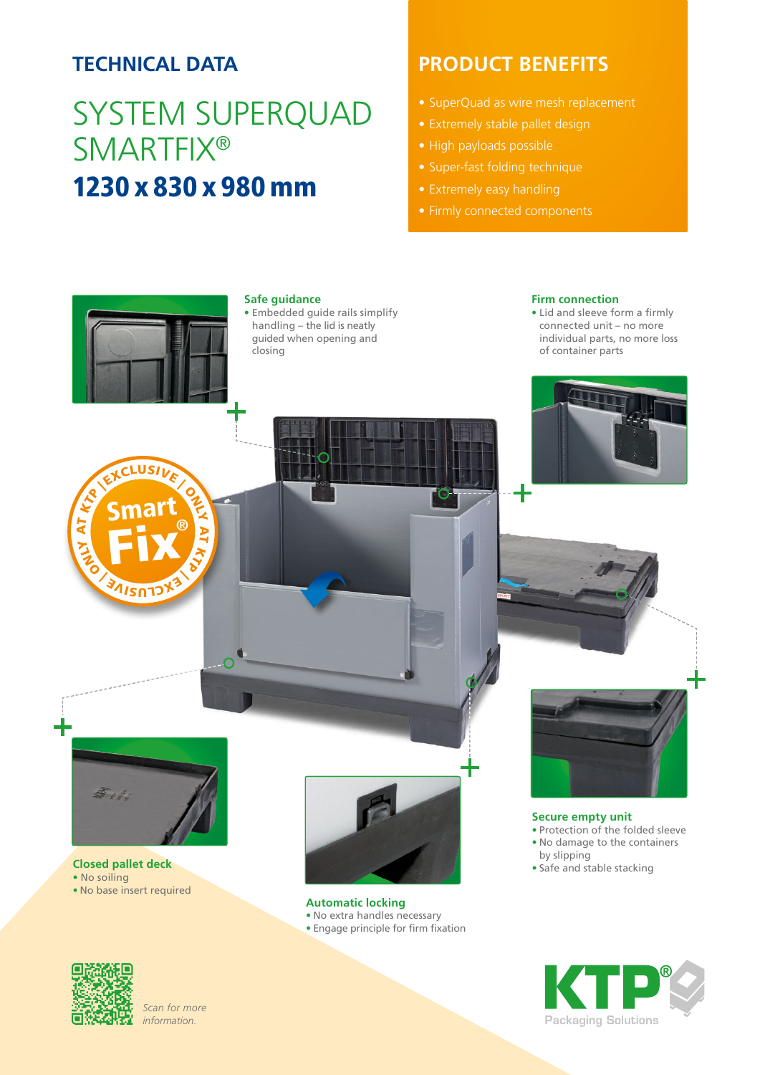## **TECHNICAL DATA**

# SYSTEM SUPERQUAD **SMARTFIX®** 1230 x 830 x 980 mm

### **PRODUCT BENEFITS**

- SuperQuad as wire mesh replacement
- Extremely stable pallet design
- High payloads possible
- Super-fast folding technique
- 
- 



### **Safe guidance**

• Embedded guide rails simplify handling – the lid is neatly guided when opening and closing

#### **Firm connection**

• Lid and sleeve form a firmly connected unit – no more individual parts, no more loss of container parts





#### **Closed pallet deck**

- No soiling
- No base insert required



#### **Automatic locking**

- No extra handles necessary
- Engage principle for firm fixation



**Secure empty unit** • Protection of the folded sleeve • No damage to the containers by slipping • Safe and stable stacking





*Scan for more information.*